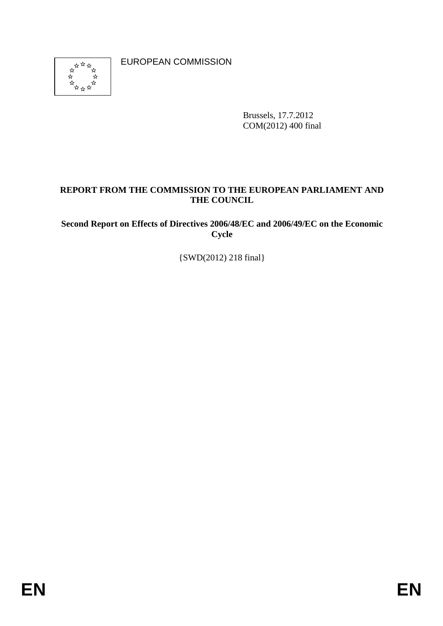

EUROPEAN COMMISSION

Brussels, 17.7.2012 COM(2012) 400 final

# **REPORT FROM THE COMMISSION TO THE EUROPEAN PARLIAMENT AND THE COUNCIL**

**Second Report on Effects of Directives 2006/48/EC and 2006/49/EC on the Economic Cycle** 

{SWD(2012) 218 final}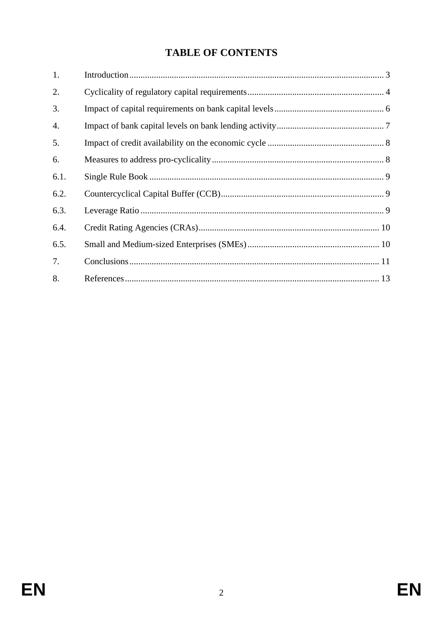# **TABLE OF CONTENTS**

| 1.   |  |
|------|--|
| 2.   |  |
| 3.   |  |
| 4.   |  |
| 5.   |  |
| 6.   |  |
| 6.1. |  |
| 6.2. |  |
| 6.3. |  |
| 6.4. |  |
| 6.5. |  |
| 7.   |  |
| 8.   |  |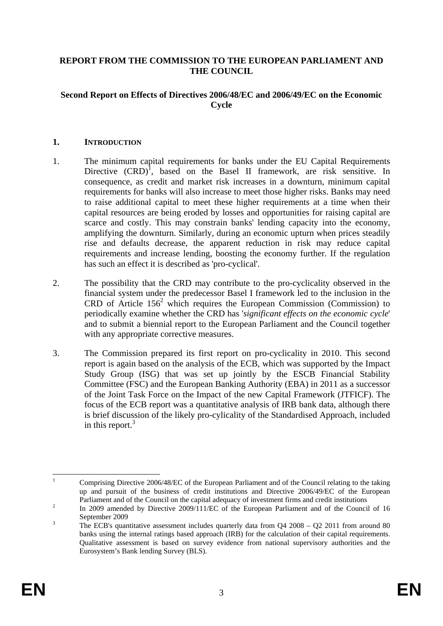#### <span id="page-2-0"></span>**REPORT FROM THE COMMISSION TO THE EUROPEAN PARLIAMENT AND THE COUNCIL**

#### **Second Report on Effects of Directives 2006/48/EC and 2006/49/EC on the Economic Cycle**

#### **1. INTRODUCTION**

- 1. The minimum capital requirements for banks under the EU Capital Requirements Directive  $(CRD)^1$ , based on the Basel II framework, are risk sensitive. In consequence, as credit and market risk increases in a downturn, minimum capital requirements for banks will also increase to meet those higher risks. Banks may need to raise additional capital to meet these higher requirements at a time when their capital resources are being eroded by losses and opportunities for raising capital are scarce and costly. This may constrain banks' lending capacity into the economy, amplifying the downturn. Similarly, during an economic upturn when prices steadily rise and defaults decrease, the apparent reduction in risk may reduce capital requirements and increase lending, boosting the economy further. If the regulation has such an effect it is described as 'pro-cyclical'.
- 2. The possibility that the CRD may contribute to the pro-cyclicality observed in the financial system under the predecessor Basel I framework led to the inclusion in the CRD of Article  $156<sup>2</sup>$  which requires the European Commission (Commission) to periodically examine whether the CRD has '*significant effects on the economic cycle*' and to submit a biennial report to the European Parliament and the Council together with any appropriate corrective measures.
- 3. The Commission prepared its first report on pro-cyclicality in 2010. This second report is again based on the analysis of the ECB, which was supported by the Impact Study Group (ISG) that was set up jointly by the ESCB Financial Stability Committee (FSC) and the European Banking Authority (EBA) in 2011 as a successor of the Joint Task Force on the Impact of the new Capital Framework (JTFICF). The focus of the ECB report was a quantitative analysis of IRB bank data, although there is brief discussion of the likely pro-cylicality of the Standardised Approach, included in this report. $3$

 $\frac{1}{1}$  Comprising Directive 2006/48/EC of the European Parliament and of the Council relating to the taking up and pursuit of the business of credit institutions and Directive 2006/49/EC of the European Parliament and of the Council on the capital adequacy of investment firms and credit institutions 2000 are and the Council of the Council of the Council of the Council of the Council of the Council of the Council of the Co

In 2009 amended by Directive 2009/111/EC of the European Parliament and of the Council of 16 September 2009

The ECB's quantitative assessment includes quarterly data from  $O4\ 2008 - O2\ 2011$  from around 80 banks using the internal ratings based approach (IRB) for the calculation of their capital requirements. Qualitative assessment is based on survey evidence from national supervisory authorities and the Eurosystem's Bank lending Survey (BLS).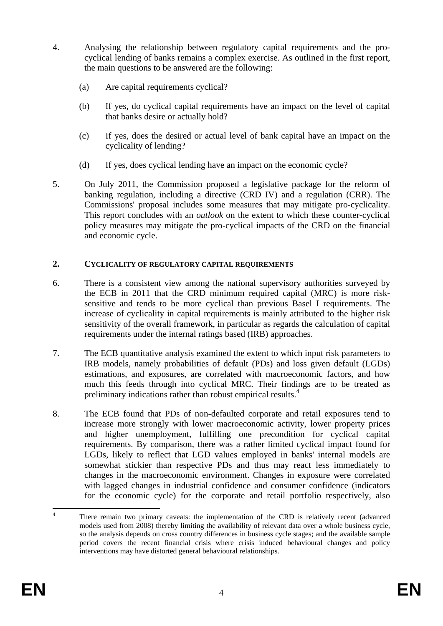- 4. Analysing the relationship between regulatory capital requirements and the procyclical lending of banks remains a complex exercise. As outlined in the first report, the main questions to be answered are the following:
	- (a) Are capital requirements cyclical?
	- (b) If yes, do cyclical capital requirements have an impact on the level of capital that banks desire or actually hold?
	- (c) If yes, does the desired or actual level of bank capital have an impact on the cyclicality of lending?
	- (d) If yes, does cyclical lending have an impact on the economic cycle?
- 5. On July 2011, the Commission proposed a legislative package for the reform of banking regulation, including a directive (CRD IV) and a regulation (CRR). The Commissions' proposal includes some measures that may mitigate pro-cyclicality. This report concludes with an *outlook* on the extent to which these counter-cyclical policy measures may mitigate the pro-cyclical impacts of the CRD on the financial and economic cycle.

#### <span id="page-3-0"></span>**2. CYCLICALITY OF REGULATORY CAPITAL REQUIREMENTS**

- 6. There is a consistent view among the national supervisory authorities surveyed by the ECB in 2011 that the CRD minimum required capital (MRC) is more risksensitive and tends to be more cyclical than previous Basel I requirements. The increase of cyclicality in capital requirements is mainly attributed to the higher risk sensitivity of the overall framework, in particular as regards the calculation of capital requirements under the internal ratings based (IRB) approaches.
- 7. The ECB quantitative analysis examined the extent to which input risk parameters to IRB models, namely probabilities of default (PDs) and loss given default (LGDs) estimations, and exposures, are correlated with macroeconomic factors, and how much this feeds through into cyclical MRC. Their findings are to be treated as preliminary indications rather than robust empirical results.<sup>4</sup>
- 8. The ECB found that PDs of non-defaulted corporate and retail exposures tend to increase more strongly with lower macroeconomic activity, lower property prices and higher unemployment, fulfilling one precondition for cyclical capital requirements. By comparison, there was a rather limited cyclical impact found for LGDs, likely to reflect that LGD values employed in banks' internal models are somewhat stickier than respective PDs and thus may react less immediately to changes in the macroeconomic environment. Changes in exposure were correlated with lagged changes in industrial confidence and consumer confidence (indicators for the economic cycle) for the corporate and retail portfolio respectively, also

 $\frac{1}{4}$  There remain two primary caveats: the implementation of the CRD is relatively recent (advanced models used from 2008) thereby limiting the availability of relevant data over a whole business cycle, so the analysis depends on cross country differences in business cycle stages; and the available sample period covers the recent financial crisis where crisis induced behavioural changes and policy interventions may have distorted general behavioural relationships.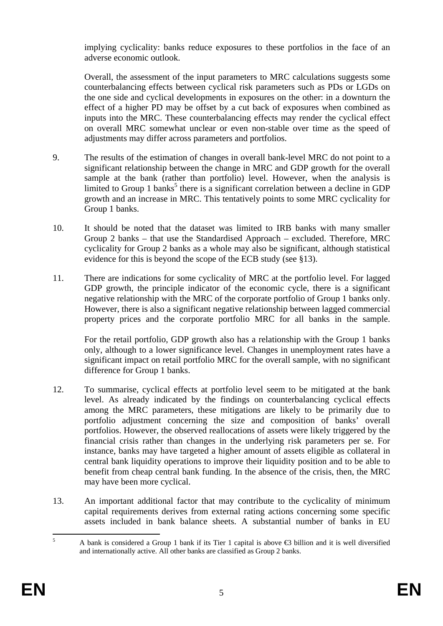implying cyclicality: banks reduce exposures to these portfolios in the face of an adverse economic outlook.

Overall, the assessment of the input parameters to MRC calculations suggests some counterbalancing effects between cyclical risk parameters such as PDs or LGDs on the one side and cyclical developments in exposures on the other: in a downturn the effect of a higher PD may be offset by a cut back of exposures when combined as inputs into the MRC. These counterbalancing effects may render the cyclical effect on overall MRC somewhat unclear or even non-stable over time as the speed of adjustments may differ across parameters and portfolios.

- 9. The results of the estimation of changes in overall bank-level MRC do not point to a significant relationship between the change in MRC and GDP growth for the overall sample at the bank (rather than portfolio) level. However, when the analysis is limited to Group 1 banks<sup>5</sup> there is a significant correlation between a decline in GDP growth and an increase in MRC. This tentatively points to some MRC cyclicality for Group 1 banks.
- 10. It should be noted that the dataset was limited to IRB banks with many smaller Group 2 banks – that use the Standardised Approach – excluded. Therefore, MRC cyclicality for Group 2 banks as a whole may also be significant, although statistical evidence for this is beyond the scope of the ECB study (see §13).
- 11. There are indications for some cyclicality of MRC at the portfolio level. For lagged GDP growth, the principle indicator of the economic cycle, there is a significant negative relationship with the MRC of the corporate portfolio of Group 1 banks only. However, there is also a significant negative relationship between lagged commercial property prices and the corporate portfolio MRC for all banks in the sample.

For the retail portfolio, GDP growth also has a relationship with the Group 1 banks only, although to a lower significance level. Changes in unemployment rates have a significant impact on retail portfolio MRC for the overall sample, with no significant difference for Group 1 banks.

- 12. To summarise, cyclical effects at portfolio level seem to be mitigated at the bank level. As already indicated by the findings on counterbalancing cyclical effects among the MRC parameters, these mitigations are likely to be primarily due to portfolio adjustment concerning the size and composition of banks' overall portfolios. However, the observed reallocations of assets were likely triggered by the financial crisis rather than changes in the underlying risk parameters per se. For instance, banks may have targeted a higher amount of assets eligible as collateral in central bank liquidity operations to improve their liquidity position and to be able to benefit from cheap central bank funding. In the absence of the crisis, then, the MRC may have been more cyclical.
- 13. An important additional factor that may contribute to the cyclicality of minimum capital requirements derives from external rating actions concerning some specific assets included in bank balance sheets. A substantial number of banks in EU

 $\frac{1}{5}$  A bank is considered a Group 1 bank if its Tier 1 capital is above €3 billion and it is well diversified and internationally active. All other banks are classified as Group 2 banks.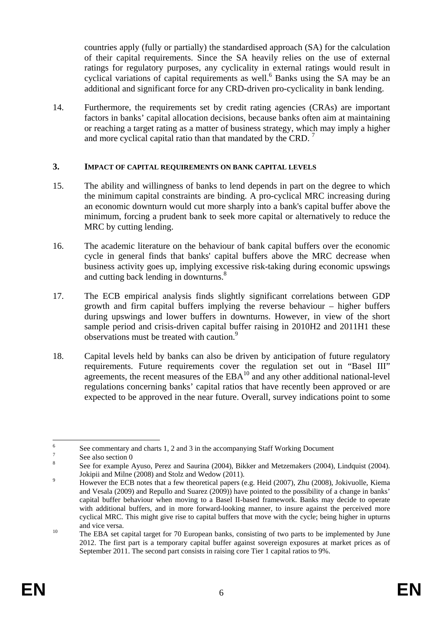countries apply (fully or partially) the standardised approach (SA) for the calculation of their capital requirements. Since the SA heavily relies on the use of external ratings for regulatory purposes, any cyclicality in external ratings would result in cyclical variations of capital requirements as well.<sup>6</sup> Banks using the SA may be an additional and significant force for any CRD-driven pro-cyclicality in bank lending.

14. Furthermore, the requirements set by credit rating agencies (CRAs) are important factors in banks' capital allocation decisions, because banks often aim at maintaining or reaching a target rating as a matter of business strategy, which may imply a higher and more cyclical capital ratio than that mandated by the CRD.  $^7$ 

#### <span id="page-5-0"></span>**3. IMPACT OF CAPITAL REQUIREMENTS ON BANK CAPITAL LEVELS**

- 15. The ability and willingness of banks to lend depends in part on the degree to which the minimum capital constraints are binding. A pro-cyclical MRC increasing during an economic downturn would cut more sharply into a bank's capital buffer above the minimum, forcing a prudent bank to seek more capital or alternatively to reduce the MRC by cutting lending.
- 16. The academic literature on the behaviour of bank capital buffers over the economic cycle in general finds that banks' capital buffers above the MRC decrease when business activity goes up, implying excessive risk-taking during economic upswings and cutting back lending in downturns.<sup>8</sup>
- 17. The ECB empirical analysis finds slightly significant correlations between GDP growth and firm capital buffers implying the reverse behaviour – higher buffers during upswings and lower buffers in downturns. However, in view of the short sample period and crisis-driven capital buffer raising in 2010H2 and 2011H1 these observations must be treated with caution.<sup>9</sup>
- 18. Capital levels held by banks can also be driven by anticipation of future regulatory requirements. Future requirements cover the regulation set out in "Basel III" agreements, the recent measures of the  $EBA<sup>10</sup>$  and any other additional national-level regulations concerning banks' capital ratios that have recently been approved or are expected to be approved in the near future. Overall, survey indications point to some

 $\frac{1}{6}$ See commentary and charts 1, 2 and 3 in the accompanying Staff Working Document  $\frac{7}{7}$ 

See also sectio[n 0](#page-9-0) 

<sup>8</sup> See for example Ayuso, Perez and Saurina (2004), Bikker and Metzemakers (2004), Lindquist (2004). Jokipii and Milne (2008) and Stolz and Wedow (2011). 9

However the ECB notes that a few theoretical papers (e.g. Heid (2007), Zhu (2008), Jokivuolle, Kiema and Vesala (2009) and Repullo and Suarez (2009)) have pointed to the possibility of a change in banks' capital buffer behaviour when moving to a Basel II-based framework. Banks may decide to operate with additional buffers, and in more forward-looking manner, to insure against the perceived more cyclical MRC. This might give rise to capital buffers that move with the cycle; being higher in upturns and vice versa.<br><sup>10</sup> The EBA set capital target for 70 European banks, consisting of two parts to be implemented by June

<sup>2012.</sup> The first part is a temporary capital buffer against sovereign exposures at market prices as of September 2011. The second part consists in raising core Tier 1 capital ratios to 9%.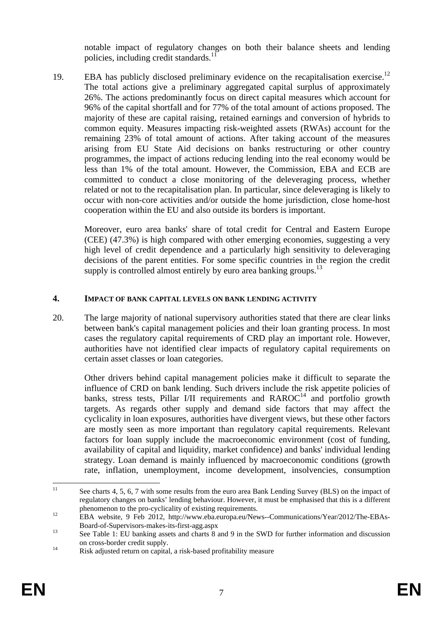notable impact of regulatory changes on both their balance sheets and lending policies, including credit standards. $11$ 

19. EBA has publicly disclosed preliminary evidence on the recapitalisation exercise.<sup>12</sup> The total actions give a preliminary aggregated capital surplus of approximately 26%. The actions predominantly focus on direct capital measures which account for 96% of the capital shortfall and for 77% of the total amount of actions proposed. The majority of these are capital raising, retained earnings and conversion of hybrids to common equity. Measures impacting risk-weighted assets (RWAs) account for the remaining 23% of total amount of actions. After taking account of the measures arising from EU State Aid decisions on banks restructuring or other country programmes, the impact of actions reducing lending into the real economy would be less than 1% of the total amount. However, the Commission, EBA and ECB are committed to conduct a close monitoring of the deleveraging process, whether related or not to the recapitalisation plan. In particular, since deleveraging is likely to occur with non-core activities and/or outside the home jurisdiction, close home-host cooperation within the EU and also outside its borders is important.

Moreover, euro area banks' share of total credit for Central and Eastern Europe (CEE) (47.3%) is high compared with other emerging economies, suggesting a very high level of credit dependence and a particularly high sensitivity to deleveraging decisions of the parent entities. For some specific countries in the region the credit supply is controlled almost entirely by euro area banking groups.<sup>13</sup>

### <span id="page-6-0"></span>**4. IMPACT OF BANK CAPITAL LEVELS ON BANK LENDING ACTIVITY**

20. The large majority of national supervisory authorities stated that there are clear links between bank's capital management policies and their loan granting process. In most cases the regulatory capital requirements of CRD play an important role. However, authorities have not identified clear impacts of regulatory capital requirements on certain asset classes or loan categories.

Other drivers behind capital management policies make it difficult to separate the influence of CRD on bank lending. Such drivers include the risk appetite policies of banks, stress tests, Pillar I/II requirements and  $RAROC<sup>14</sup>$  and portfolio growth targets. As regards other supply and demand side factors that may affect the cyclicality in loan exposures, authorities have divergent views, but these other factors are mostly seen as more important than regulatory capital requirements. Relevant factors for loan supply include the macroeconomic environment (cost of funding, availability of capital and liquidity, market confidence) and banks' individual lending strategy. Loan demand is mainly influenced by macroeconomic conditions (growth rate, inflation, unemployment, income development, insolvencies, consumption

 $11$ See charts 4, 5, 6, 7 with some results from the euro area Bank Lending Survey (BLS) on the impact of regulatory changes on banks' lending behaviour. However, it must be emphasised that this is a different

phenomenon to the pro-cyclicality of existing requirements.<br>
12 EBA website, 9 Feb 2012, http://www.eba.europa.eu/News--Communications/Year/2012/The-EBAs-Board-of-Supervisors-makes-its-first-agg.aspx<br>
See Table 1: EU banking assets and charts 8 and 9 in the SWD for further information and discussion

on cross-border credit supply.<br><sup>14</sup> Risk adjusted return on capital, a risk-based profitability measure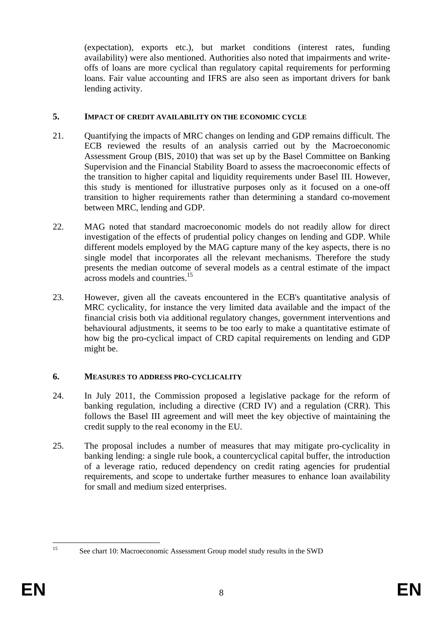(expectation), exports etc.), but market conditions (interest rates, funding availability) were also mentioned. Authorities also noted that impairments and writeoffs of loans are more cyclical than regulatory capital requirements for performing loans. Fair value accounting and IFRS are also seen as important drivers for bank lending activity.

#### <span id="page-7-0"></span>**5. IMPACT OF CREDIT AVAILABILITY ON THE ECONOMIC CYCLE**

- 21. Quantifying the impacts of MRC changes on lending and GDP remains difficult. The ECB reviewed the results of an analysis carried out by the Macroeconomic Assessment Group (BIS, 2010) that was set up by the Basel Committee on Banking Supervision and the Financial Stability Board to assess the macroeconomic effects of the transition to higher capital and liquidity requirements under Basel III. However, this study is mentioned for illustrative purposes only as it focused on a one-off transition to higher requirements rather than determining a standard co-movement between MRC, lending and GDP.
- 22. MAG noted that standard macroeconomic models do not readily allow for direct investigation of the effects of prudential policy changes on lending and GDP. While different models employed by the MAG capture many of the key aspects, there is no single model that incorporates all the relevant mechanisms. Therefore the study presents the median outcome of several models as a central estimate of the impact across models and countries.15
- 23. However, given all the caveats encountered in the ECB's quantitative analysis of MRC cyclicality, for instance the very limited data available and the impact of the financial crisis both via additional regulatory changes, government interventions and behavioural adjustments, it seems to be too early to make a quantitative estimate of how big the pro-cyclical impact of CRD capital requirements on lending and GDP might be.

#### <span id="page-7-1"></span>**6. MEASURES TO ADDRESS PRO-CYCLICALITY**

- 24. In July 2011, the Commission proposed a legislative package for the reform of banking regulation, including a directive (CRD IV) and a regulation (CRR). This follows the Basel III agreement and will meet the key objective of maintaining the credit supply to the real economy in the EU.
- 25. The proposal includes a number of measures that may mitigate pro-cyclicality in banking lending: a single rule book, a countercyclical capital buffer, the introduction of a leverage ratio, reduced dependency on credit rating agencies for prudential requirements, and scope to undertake further measures to enhance loan availability for small and medium sized enterprises.

 $15$ 

<sup>15</sup> See chart 10: Macroeconomic Assessment Group model study results in the SWD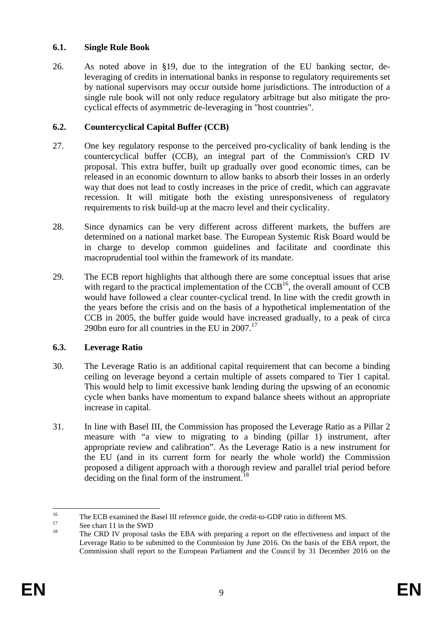#### <span id="page-8-0"></span>**6.1. Single Rule Book**

26. As noted above in §19, due to the integration of the EU banking sector, deleveraging of credits in international banks in response to regulatory requirements set by national supervisors may occur outside home jurisdictions. The introduction of a single rule book will not only reduce regulatory arbitrage but also mitigate the procyclical effects of asymmetric de-leveraging in "host countries".

### <span id="page-8-1"></span>**6.2. Countercyclical Capital Buffer (CCB)**

- 27. One key regulatory response to the perceived pro-cyclicality of bank lending is the countercyclical buffer (CCB), an integral part of the Commission's CRD IV proposal. This extra buffer, built up gradually over good economic times, can be released in an economic downturn to allow banks to absorb their losses in an orderly way that does not lead to costly increases in the price of credit, which can aggravate recession. It will mitigate both the existing unresponsiveness of regulatory requirements to risk build-up at the macro level and their cyclicality.
- 28. Since dynamics can be very different across different markets, the buffers are determined on a national market base. The European Systemic Risk Board would be in charge to develop common guidelines and facilitate and coordinate this macroprudential tool within the framework of its mandate.
- 29. The ECB report highlights that although there are some conceptual issues that arise with regard to the practical implementation of the  $CCB<sup>16</sup>$ , the overall amount of  $CCB$ would have followed a clear counter-cyclical trend. In line with the credit growth in the years before the crisis and on the basis of a hypothetical implementation of the CCB in 2005, the buffer guide would have increased gradually, to a peak of circa 290bn euro for all countries in the EU in  $2007$ <sup>17</sup>

### <span id="page-8-2"></span>**6.3. Leverage Ratio**

- 30. The Leverage Ratio is an additional capital requirement that can become a binding ceiling on leverage beyond a certain multiple of assets compared to Tier 1 capital. This would help to limit excessive bank lending during the upswing of an economic cycle when banks have momentum to expand balance sheets without an appropriate increase in capital.
- 31. In line with Basel III, the Commission has proposed the Leverage Ratio as a Pillar 2 measure with "a view to migrating to a binding (pillar 1) instrument, after appropriate review and calibration". As the Leverage Ratio is a new instrument for the EU (and in its current form for nearly the whole world) the Commission proposed a diligent approach with a thorough review and parallel trial period before deciding on the final form of the instrument.<sup>18</sup>

<sup>16</sup> <sup>16</sup> The ECB examined the Basel III reference guide, the credit-to-GDP ratio in different MS.<br>
<sup>17</sup> See chart 11 in the SWD<br>
<sup>18</sup>

The CRD IV proposal tasks the EBA with preparing a report on the effectiveness and impact of the Leverage Ratio to be submitted to the Commission by June 2016. On the basis of the EBA report, the Commission shall report to the European Parliament and the Council by 31 December 2016 on the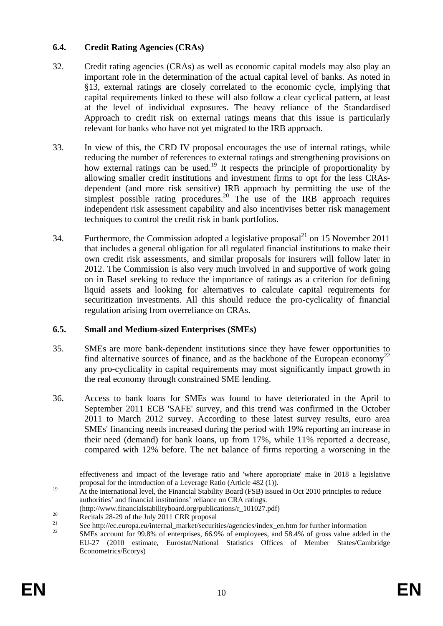### <span id="page-9-0"></span>**6.4. Credit Rating Agencies (CRAs)**

- 32. Credit rating agencies (CRAs) as well as economic capital models may also play an important role in the determination of the actual capital level of banks. As noted in §13, external ratings are closely correlated to the economic cycle, implying that capital requirements linked to these will also follow a clear cyclical pattern, at least at the level of individual exposures. The heavy reliance of the Standardised Approach to credit risk on external ratings means that this issue is particularly relevant for banks who have not yet migrated to the IRB approach.
- 33. In view of this, the CRD IV proposal encourages the use of internal ratings, while reducing the number of references to external ratings and strengthening provisions on how external ratings can be used.<sup>19</sup> It respects the principle of proportionality by allowing smaller credit institutions and investment firms to opt for the less CRAsdependent (and more risk sensitive) IRB approach by permitting the use of the simplest possible rating procedures.<sup>20</sup> The use of the IRB approach requires independent risk assessment capability and also incentivises better risk management techniques to control the credit risk in bank portfolios.
- 34. Furthermore, the Commission adopted a legislative proposal $^{21}$  on 15 November 2011 that includes a general obligation for all regulated financial institutions to make their own credit risk assessments, and similar proposals for insurers will follow later in 2012. The Commission is also very much involved in and supportive of work going on in Basel seeking to reduce the importance of ratings as a criterion for defining liquid assets and looking for alternatives to calculate capital requirements for securitization investments. All this should reduce the pro-cyclicality of financial regulation arising from overreliance on CRAs.

#### <span id="page-9-1"></span>**6.5. Small and Medium-sized Enterprises (SMEs)**

- 35. SMEs are more bank-dependent institutions since they have fewer opportunities to find alternative sources of finance, and as the backbone of the European economy<sup>2</sup> any pro-cyclicality in capital requirements may most significantly impact growth in the real economy through constrained SME lending.
- 36. Access to bank loans for SMEs was found to have deteriorated in the April to September 2011 ECB 'SAFE' survey, and this trend was confirmed in the October 2011 to March 2012 survey. According to these latest survey results, euro area SMEs' financing needs increased during the period with 19% reporting an increase in their need (demand) for bank loans, up from 17%, while 11% reported a decrease, compared with 12% before. The net balance of firms reporting a worsening in the

effectiveness and impact of the leverage ratio and 'where appropriate' make in 2018 a legislative proposal for the introduction of a Leverage Ratio (Article 482 (1)).

<sup>&</sup>lt;sup>19</sup> At the international level, the Financial Stability Board (FSB) issued in Oct 2010 principles to reduce authorities' and financial institutions' reliance on CRA ratings.

<sup>(</sup>http://www.financialstabilityboard.org/publications/r\_101027.pdf)<br>
Recitals 28-29 of the July 2011 CRR proposal

<sup>&</sup>lt;sup>21</sup> See http://ec.europa.eu/internal\_market/securities/agencies/index\_en.htm for further information<br><sup>22</sup> SME is the 2008 (see for the 2008) of the securities and 52.4% of securities and the distribution

<sup>22</sup> SMEs account for 99.8% of enterprises, 66.9% of employees, and 58.4% of gross value added in the EU-27 (2010 estimate, Eurostat/National Statistics Offices of Member States/Cambridge Econometrics/Ecorys)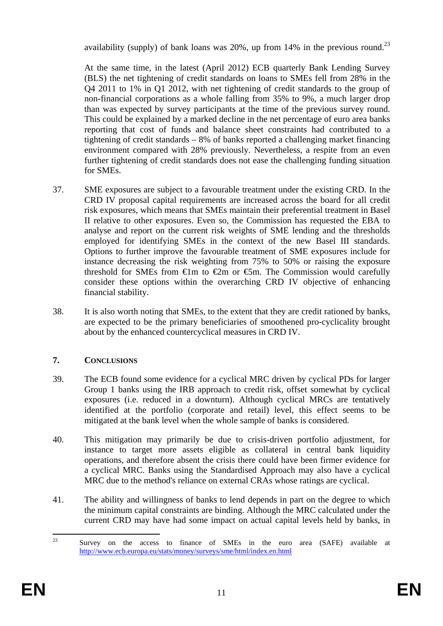availability (supply) of bank loans was 20%, up from 14% in the previous round.<sup>23</sup>

At the same time, in the latest (April 2012) ECB quarterly Bank Lending Survey (BLS) the net tightening of credit standards on loans to SMEs fell from 28% in the Q4 2011 to 1% in Q1 2012, with net tightening of credit standards to the group of non-financial corporations as a whole falling from 35% to 9%, a much larger drop than was expected by survey participants at the time of the previous survey round. This could be explained by a marked decline in the net percentage of euro area banks reporting that cost of funds and balance sheet constraints had contributed to a tightening of credit standards – 8% of banks reported a challenging market financing environment compared with 28% previously. Nevertheless, a respite from an even further tightening of credit standards does not ease the challenging funding situation for SMEs.

- 37. SME exposures are subject to a favourable treatment under the existing CRD. In the CRD IV proposal capital requirements are increased across the board for all credit risk exposures, which means that SMEs maintain their preferential treatment in Basel II relative to other exposures. Even so, the Commission has requested the EBA to analyse and report on the current risk weights of SME lending and the thresholds employed for identifying SMEs in the context of the new Basel III standards. Options to further improve the favourable treatment of SME exposures include for instance decreasing the risk weighting from 75% to 50% or raising the exposure threshold for SMEs from  $\oplus$ m to  $\oplus$ m or  $\oplus$ m. The Commission would carefully consider these options within the overarching CRD IV objective of enhancing financial stability.
- 38. It is also worth noting that SMEs, to the extent that they are credit rationed by banks, are expected to be the primary beneficiaries of smoothened pro-cyclicality brought about by the enhanced countercyclical measures in CRD IV.

# <span id="page-10-0"></span>**7. CONCLUSIONS**

- 39. The ECB found some evidence for a cyclical MRC driven by cyclical PDs for larger Group 1 banks using the IRB approach to credit risk, offset somewhat by cyclical exposures (i.e. reduced in a downturn). Although cyclical MRCs are tentatively identified at the portfolio (corporate and retail) level, this effect seems to be mitigated at the bank level when the whole sample of banks is considered.
- 40. This mitigation may primarily be due to crisis-driven portfolio adjustment, for instance to target more assets eligible as collateral in central bank liquidity operations, and therefore absent the crisis there could have been firmer evidence for a cyclical MRC. Banks using the Standardised Approach may also have a cyclical MRC due to the method's reliance on external CRAs whose ratings are cyclical.
- 41. The ability and willingness of banks to lend depends in part on the degree to which the minimum capital constraints are binding. Although the MRC calculated under the current CRD may have had some impact on actual capital levels held by banks, in

 $23$ 23 Survey on the access to finance of SMEs in the euro area (SAFE) available at <http://www.ecb.europa.eu/stats/money/surveys/sme/html/index.en.html>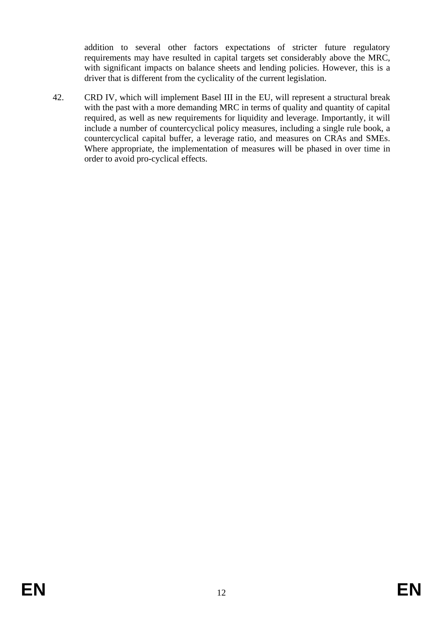addition to several other factors expectations of stricter future regulatory requirements may have resulted in capital targets set considerably above the MRC, with significant impacts on balance sheets and lending policies. However, this is a driver that is different from the cyclicality of the current legislation.

42. CRD IV, which will implement Basel III in the EU, will represent a structural break with the past with a more demanding MRC in terms of quality and quantity of capital required, as well as new requirements for liquidity and leverage. Importantly, it will include a number of countercyclical policy measures, including a single rule book, a countercyclical capital buffer, a leverage ratio, and measures on CRAs and SMEs. Where appropriate, the implementation of measures will be phased in over time in order to avoid pro-cyclical effects.